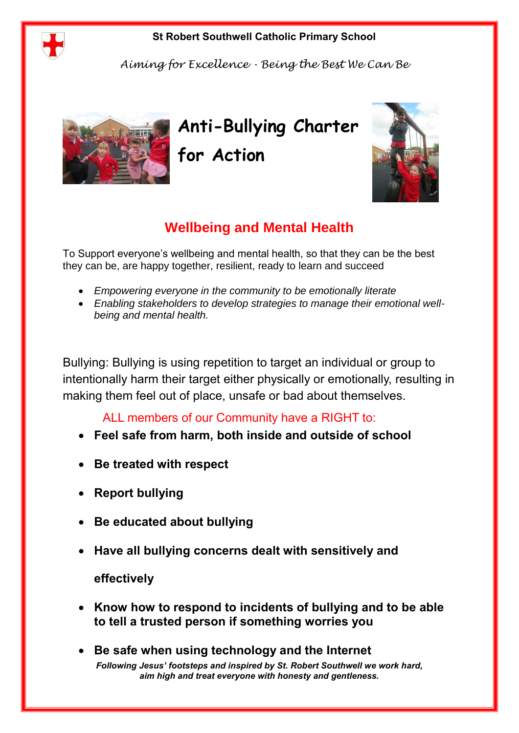

## **St Robert Southwell Catholic Primary School**

*Aiming for Excellence - Being the Best We Can Be*



**Anti-Bullying Charter for Action**



To Support everyone's wellbeing and mental health, so that they can be the best they can be, are happy together, resilient, ready to learn and succeed

- *Empowering everyone in the community to be emotionally literate*
- *Enabling stakeholders to develop strategies to manage their emotional wellbeing and mental health.*

Bullying: Bullying is using repetition to target an individual or group to intentionally harm their target either physically or emotionally, resulting in making them feel out of place, unsafe or bad about themselves.

ALL members of our Community have a RIGHT to:

- **Feel safe from harm, both inside and outside of school**
- **Be treated with respect**
- **Report bullying**
- **Be educated about bullying**
- **Have all bullying concerns dealt with sensitively and**

## **effectively**

- **Know how to respond to incidents of bullying and to be able to tell a trusted person if something worries you**
- *Following Jesus' footsteps and inspired by St. Robert Southwell we work hard, aim high and treat everyone with honesty and gentleness.* **Be safe when using technology and the Internet**